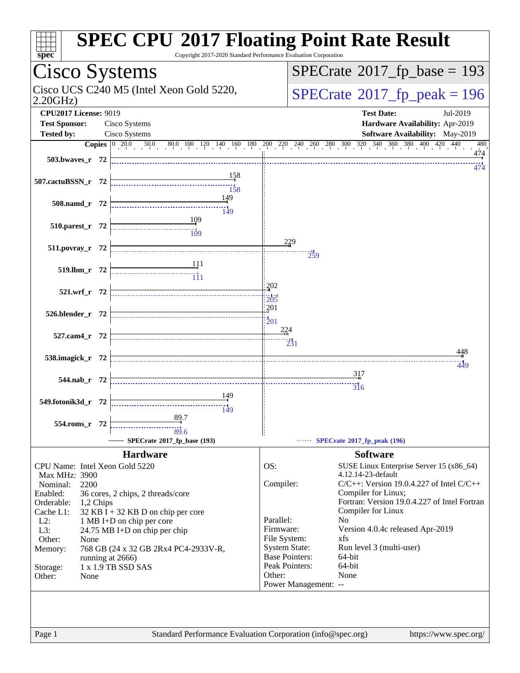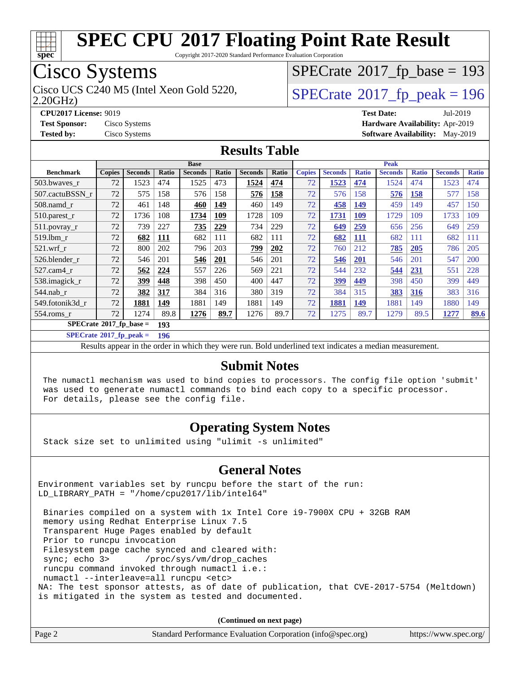

Copyright 2017-2020 Standard Performance Evaluation Corporation

## Cisco Systems

2.20GHz)

## $SPECrate$ <sup>®</sup>[2017\\_fp\\_base =](http://www.spec.org/auto/cpu2017/Docs/result-fields.html#SPECrate2017fpbase) 193

Cisco UCS C240 M5 (Intel Xeon Gold 5220,  $\text{SPECrate}$  $\text{SPECrate}$  $\text{SPECrate}$ <sup>®</sup>[2017\\_fp\\_peak = 1](http://www.spec.org/auto/cpu2017/Docs/result-fields.html#SPECrate2017fppeak)96

**[CPU2017 License:](http://www.spec.org/auto/cpu2017/Docs/result-fields.html#CPU2017License)** 9019 **[Test Date:](http://www.spec.org/auto/cpu2017/Docs/result-fields.html#TestDate)** Jul-2019 **[Test Sponsor:](http://www.spec.org/auto/cpu2017/Docs/result-fields.html#TestSponsor)** Cisco Systems **[Hardware Availability:](http://www.spec.org/auto/cpu2017/Docs/result-fields.html#HardwareAvailability)** Apr-2019 **[Tested by:](http://www.spec.org/auto/cpu2017/Docs/result-fields.html#Testedby)** Cisco Systems **[Software Availability:](http://www.spec.org/auto/cpu2017/Docs/result-fields.html#SoftwareAvailability)** May-2019

#### **[Results Table](http://www.spec.org/auto/cpu2017/Docs/result-fields.html#ResultsTable)**

|                            | <b>Base</b>   |                |       |                |            | <b>Peak</b>    |       |               |                |              |                |              |                |              |
|----------------------------|---------------|----------------|-------|----------------|------------|----------------|-------|---------------|----------------|--------------|----------------|--------------|----------------|--------------|
| <b>Benchmark</b>           | <b>Copies</b> | <b>Seconds</b> | Ratio | <b>Seconds</b> | Ratio      | <b>Seconds</b> | Ratio | <b>Copies</b> | <b>Seconds</b> | <b>Ratio</b> | <b>Seconds</b> | <b>Ratio</b> | <b>Seconds</b> | <b>Ratio</b> |
| 503.bwaves_r               | 72            | 1523           | 474   | 1525           | 473        | 1524           | 474   | 72            | 1523           | 474          | 1524           | 474          | 1523           | 474          |
| 507.cactuBSSN r            | 72            | 575            | 158   | 576            | 158        | 576            | 158   | 72            | 576            | 158          | 576            | 158          | 577            | 158          |
| 508.namd_r                 | 72            | 461            | 148   | 460            | 149        | 460            | 149   | 72            | 458            | 149          | 459            | 149          | 457            | 150          |
| 510.parest_r               | 72            | 1736           | 108   | 1734           | <u>109</u> | 1728           | 109   | 72            | 1731           | <u>109</u>   | 1729           | 109          | 1733           | 109          |
| 511.povray_r               | 72            | 739            | 227   | 735            | 229        | 734            | 229   | 72            | 649            | <u>259</u>   | 656            | 256          | 649            | 259          |
| 519.1bm r                  | 72            | 682            | 111   | 682            | 111        | 682            | 111   | 72            | 682            | <u>111</u>   | 682            | 111          | 682            | 111          |
| $521$ .wrf r               | 72            | 800            | 202   | 796            | 203        | 799            | 202   | 72            | 760            | 212          | 785            | 205          | 786            | 205          |
| 526.blender r              | 72            | 546            | 201   | 546            | 201        | 546            | 201   | 72            | 546            | <b>201</b>   | 546            | 201          | 547            | 200          |
| 527.cam4 r                 | 72            | 562            | 224   | 557            | 226        | 569            | 221   | 72            | 544            | 232          | 544            | 231          | 551            | 228          |
| 538.imagick_r              | 72            | 399            | 448   | 398            | 450        | 400            | 447   | 72            | <u>399</u>     | 449          | 398            | 450          | 399            | 449          |
| $544$ .nab_r               | 72            | 382            | 317   | 384            | 316        | 380            | 319   | 72            | 384            | 315          | 383            | 316          | 383            | 316          |
| 549.fotonik3d r            | 72            | 1881           | 149   | 1881           | 149        | 1881           | 149   | 72            | 1881           | 149          | 1881           | 149          | 1880           | 149          |
| $554$ .roms r              | 72            | 1274           | 89.8  | 1276           | 89.7       | 1276           | 89.7  | 72            | 1275           | 89.7         | 1279           | 89.5         | 1277           | 89.6         |
| $SPECrate*2017_fp\_base =$ |               |                | 193   |                |            |                |       |               |                |              |                |              |                |              |

**[SPECrate](http://www.spec.org/auto/cpu2017/Docs/result-fields.html#SPECrate2017fppeak)[2017\\_fp\\_peak =](http://www.spec.org/auto/cpu2017/Docs/result-fields.html#SPECrate2017fppeak) 196**

Results appear in the [order in which they were run.](http://www.spec.org/auto/cpu2017/Docs/result-fields.html#RunOrder) Bold underlined text [indicates a median measurement.](http://www.spec.org/auto/cpu2017/Docs/result-fields.html#Median)

#### **[Submit Notes](http://www.spec.org/auto/cpu2017/Docs/result-fields.html#SubmitNotes)**

 The numactl mechanism was used to bind copies to processors. The config file option 'submit' was used to generate numactl commands to bind each copy to a specific processor. For details, please see the config file.

#### **[Operating System Notes](http://www.spec.org/auto/cpu2017/Docs/result-fields.html#OperatingSystemNotes)**

Stack size set to unlimited using "ulimit -s unlimited"

#### **[General Notes](http://www.spec.org/auto/cpu2017/Docs/result-fields.html#GeneralNotes)**

Environment variables set by runcpu before the start of the run: LD\_LIBRARY\_PATH = "/home/cpu2017/lib/intel64"

 Binaries compiled on a system with 1x Intel Core i9-7900X CPU + 32GB RAM memory using Redhat Enterprise Linux 7.5 Transparent Huge Pages enabled by default Prior to runcpu invocation Filesystem page cache synced and cleared with: sync; echo 3> /proc/sys/vm/drop\_caches runcpu command invoked through numactl i.e.: numactl --interleave=all runcpu <etc> NA: The test sponsor attests, as of date of publication, that CVE-2017-5754 (Meltdown) is mitigated in the system as tested and documented.

**(Continued on next page)**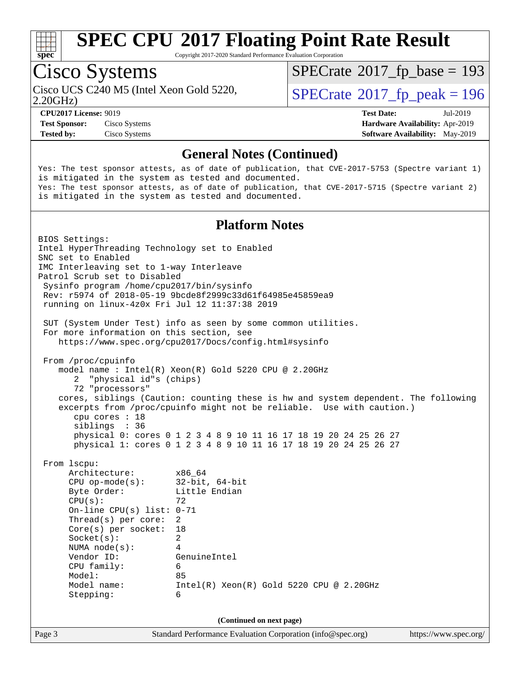

Copyright 2017-2020 Standard Performance Evaluation Corporation

## Cisco Systems

2.20GHz)

 $SPECTate$ <sup>®</sup>[2017\\_fp\\_base =](http://www.spec.org/auto/cpu2017/Docs/result-fields.html#SPECrate2017fpbase) 193

**[Test Sponsor:](http://www.spec.org/auto/cpu2017/Docs/result-fields.html#TestSponsor)** Cisco Systems **[Hardware Availability:](http://www.spec.org/auto/cpu2017/Docs/result-fields.html#HardwareAvailability)** Apr-2019

Cisco UCS C240 M5 (Intel Xeon Gold 5220,  $\text{SPECrate}$  $\text{SPECrate}$  $\text{SPECrate}$ <sup>®</sup>[2017\\_fp\\_peak = 1](http://www.spec.org/auto/cpu2017/Docs/result-fields.html#SPECrate2017fppeak)96

**[CPU2017 License:](http://www.spec.org/auto/cpu2017/Docs/result-fields.html#CPU2017License)** 9019 **[Test Date:](http://www.spec.org/auto/cpu2017/Docs/result-fields.html#TestDate)** Jul-2019 **[Tested by:](http://www.spec.org/auto/cpu2017/Docs/result-fields.html#Testedby)** Cisco Systems **[Software Availability:](http://www.spec.org/auto/cpu2017/Docs/result-fields.html#SoftwareAvailability)** May-2019

#### **[General Notes \(Continued\)](http://www.spec.org/auto/cpu2017/Docs/result-fields.html#GeneralNotes)**

Yes: The test sponsor attests, as of date of publication, that CVE-2017-5753 (Spectre variant 1) is mitigated in the system as tested and documented. Yes: The test sponsor attests, as of date of publication, that CVE-2017-5715 (Spectre variant 2) is mitigated in the system as tested and documented.

#### **[Platform Notes](http://www.spec.org/auto/cpu2017/Docs/result-fields.html#PlatformNotes)**

Page 3 Standard Performance Evaluation Corporation [\(info@spec.org\)](mailto:info@spec.org) <https://www.spec.org/> BIOS Settings: Intel HyperThreading Technology set to Enabled SNC set to Enabled IMC Interleaving set to 1-way Interleave Patrol Scrub set to Disabled Sysinfo program /home/cpu2017/bin/sysinfo Rev: r5974 of 2018-05-19 9bcde8f2999c33d61f64985e45859ea9 running on linux-4z0x Fri Jul 12 11:37:38 2019 SUT (System Under Test) info as seen by some common utilities. For more information on this section, see <https://www.spec.org/cpu2017/Docs/config.html#sysinfo> From /proc/cpuinfo model name : Intel(R) Xeon(R) Gold 5220 CPU @ 2.20GHz 2 "physical id"s (chips) 72 "processors" cores, siblings (Caution: counting these is hw and system dependent. The following excerpts from /proc/cpuinfo might not be reliable. Use with caution.) cpu cores : 18 siblings : 36 physical 0: cores 0 1 2 3 4 8 9 10 11 16 17 18 19 20 24 25 26 27 physical 1: cores 0 1 2 3 4 8 9 10 11 16 17 18 19 20 24 25 26 27 From lscpu: Architecture: x86\_64 CPU op-mode(s): 32-bit, 64-bit Byte Order: Little Endian  $CPU(s):$  72 On-line CPU(s) list: 0-71 Thread(s) per core: 2 Core(s) per socket: 18 Socket(s): 2 NUMA node(s): 4 Vendor ID: GenuineIntel CPU family: 6 Model: 85 Model name: Intel(R) Xeon(R) Gold 5220 CPU @ 2.20GHz Stepping: 6 **(Continued on next page)**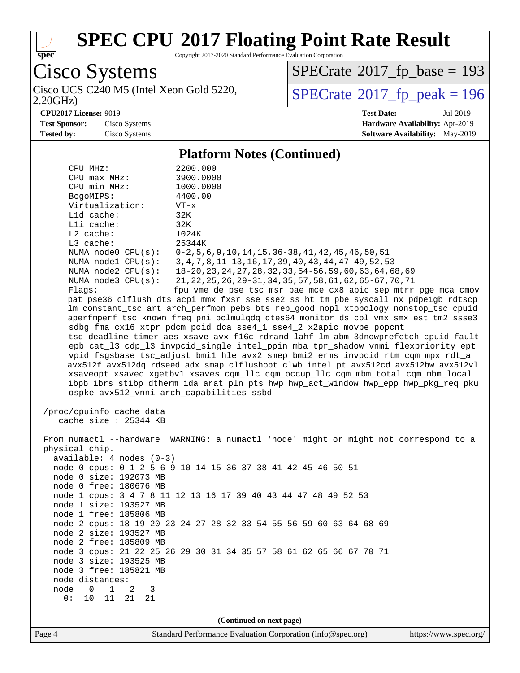

Copyright 2017-2020 Standard Performance Evaluation Corporation

Cisco Systems<br>Cisco UCS C240 M5 (Intel Xeon Gold 5220,

2.20GHz)

 $SPECrate$ <sup>®</sup>[2017\\_fp\\_base =](http://www.spec.org/auto/cpu2017/Docs/result-fields.html#SPECrate2017fpbase) 193

 $SPECTate$ <sup>®</sup>[2017\\_fp\\_peak = 1](http://www.spec.org/auto/cpu2017/Docs/result-fields.html#SPECrate2017fppeak)96

**[CPU2017 License:](http://www.spec.org/auto/cpu2017/Docs/result-fields.html#CPU2017License)** 9019 **[Test Date:](http://www.spec.org/auto/cpu2017/Docs/result-fields.html#TestDate)** Jul-2019 **[Test Sponsor:](http://www.spec.org/auto/cpu2017/Docs/result-fields.html#TestSponsor)** Cisco Systems **[Hardware Availability:](http://www.spec.org/auto/cpu2017/Docs/result-fields.html#HardwareAvailability)** Apr-2019 **[Tested by:](http://www.spec.org/auto/cpu2017/Docs/result-fields.html#Testedby)** Cisco Systems **[Software Availability:](http://www.spec.org/auto/cpu2017/Docs/result-fields.html#SoftwareAvailability)** May-2019

#### **[Platform Notes \(Continued\)](http://www.spec.org/auto/cpu2017/Docs/result-fields.html#PlatformNotes)**

| CPU MHz:                                          | 2200.000                                                                             |  |  |  |  |
|---------------------------------------------------|--------------------------------------------------------------------------------------|--|--|--|--|
| CPU max MHz:                                      | 3900.0000                                                                            |  |  |  |  |
| CPU min MHz:                                      | 1000.0000                                                                            |  |  |  |  |
| BogoMIPS:                                         | 4400.00                                                                              |  |  |  |  |
| Virtualization:                                   | VT-x                                                                                 |  |  |  |  |
| L1d cache:                                        | 32K                                                                                  |  |  |  |  |
| Lli cache:                                        | 32K                                                                                  |  |  |  |  |
| $L2$ cache:                                       | 1024K                                                                                |  |  |  |  |
| L3 cache:                                         | 25344K                                                                               |  |  |  |  |
| NUMA $node0$ $CPU(s)$ :                           | $0-2, 5, 6, 9, 10, 14, 15, 36-38, 41, 42, 45, 46, 50, 51$                            |  |  |  |  |
| NUMA $node1$ $CPU(s)$ :                           | 3, 4, 7, 8, 11-13, 16, 17, 39, 40, 43, 44, 47-49, 52, 53                             |  |  |  |  |
| NUMA node2 CPU(s):                                | 18-20, 23, 24, 27, 28, 32, 33, 54-56, 59, 60, 63, 64, 68, 69                         |  |  |  |  |
| NUMA $node3$ $CPU(s)$ :                           | 21, 22, 25, 26, 29-31, 34, 35, 57, 58, 61, 62, 65-67, 70, 71                         |  |  |  |  |
| Flags:                                            | fpu vme de pse tsc msr pae mce cx8 apic sep mtrr pge mca cmov                        |  |  |  |  |
|                                                   | pat pse36 clflush dts acpi mmx fxsr sse sse2 ss ht tm pbe syscall nx pdpelgb rdtscp  |  |  |  |  |
|                                                   | lm constant_tsc art arch_perfmon pebs bts rep_good nopl xtopology nonstop_tsc cpuid  |  |  |  |  |
|                                                   | aperfmperf tsc_known_freq pni pclmulqdq dtes64 monitor ds_cpl vmx smx est tm2 ssse3  |  |  |  |  |
|                                                   | sdbg fma cx16 xtpr pdcm pcid dca sse4_1 sse4_2 x2apic movbe popcnt                   |  |  |  |  |
|                                                   | tsc_deadline_timer aes xsave avx f16c rdrand lahf_lm abm 3dnowprefetch cpuid_fault   |  |  |  |  |
|                                                   | epb cat_13 cdp_13 invpcid_single intel_ppin mba tpr_shadow vnmi flexpriority ept     |  |  |  |  |
|                                                   | vpid fsgsbase tsc_adjust bmil hle avx2 smep bmi2 erms invpcid rtm cqm mpx rdt_a      |  |  |  |  |
|                                                   | avx512f avx512dq rdseed adx smap clflushopt clwb intel_pt avx512cd avx512bw avx512vl |  |  |  |  |
|                                                   | xsaveopt xsavec xgetbvl xsaves cqm_llc cqm_occup_llc cqm_mbm_total cqm_mbm_local     |  |  |  |  |
|                                                   | ibpb ibrs stibp dtherm ida arat pln pts hwp hwp_act_window hwp_epp hwp_pkg_req pku   |  |  |  |  |
| ospke avx512_vnni arch_capabilities ssbd          |                                                                                      |  |  |  |  |
| /proc/cpuinfo cache data<br>cache size : 25344 KB |                                                                                      |  |  |  |  |
|                                                   | From numactl --hardware WARNING: a numactl 'node' might or might not correspond to a |  |  |  |  |
| physical chip.                                    |                                                                                      |  |  |  |  |
| $available: 4 nodes (0-3)$                        |                                                                                      |  |  |  |  |
|                                                   | node 0 cpus: 0 1 2 5 6 9 10 14 15 36 37 38 41 42 45 46 50 51                         |  |  |  |  |
| node 0 size: 192073 MB                            |                                                                                      |  |  |  |  |
| node 0 free: 180676 MB                            |                                                                                      |  |  |  |  |
|                                                   | node 1 cpus: 3 4 7 8 11 12 13 16 17 39 40 43 44 47 48 49 52 53                       |  |  |  |  |
| node 1 size: 193527 MB                            |                                                                                      |  |  |  |  |
| node 1 free: 185806 MB                            |                                                                                      |  |  |  |  |
|                                                   | node 2 cpus: 18 19 20 23 24 27 28 32 33 54 55 56 59 60 63 64 68 69                   |  |  |  |  |
| node 2 size: 193527 MB                            |                                                                                      |  |  |  |  |
| node 2 free: 185809 MB                            |                                                                                      |  |  |  |  |
|                                                   | node 3 cpus: 21 22 25 26 29 30 31 34 35 57 58 61 62 65 66 67 70 71                   |  |  |  |  |
| node 3 size: 193525 MB                            |                                                                                      |  |  |  |  |
| node 3 free: 185821 MB                            |                                                                                      |  |  |  |  |
| node distances:                                   |                                                                                      |  |  |  |  |
| node<br>1<br>0<br>2<br>3                          |                                                                                      |  |  |  |  |
| 0:<br>$11$<br>10<br>21<br>21                      |                                                                                      |  |  |  |  |
|                                                   |                                                                                      |  |  |  |  |
| (Continued on next page)                          |                                                                                      |  |  |  |  |
|                                                   |                                                                                      |  |  |  |  |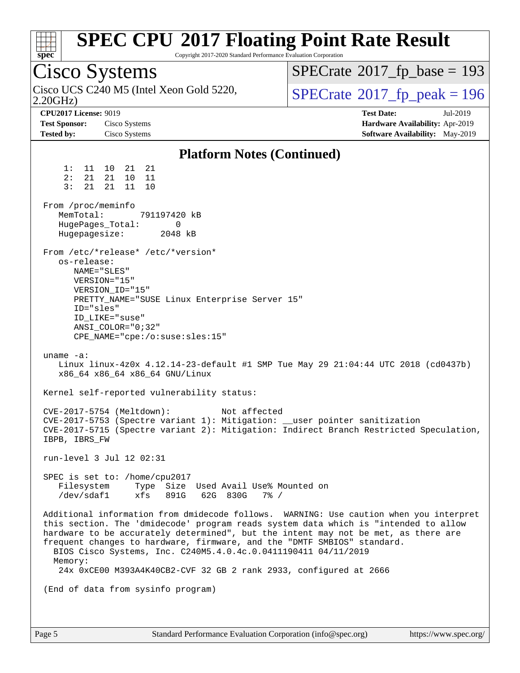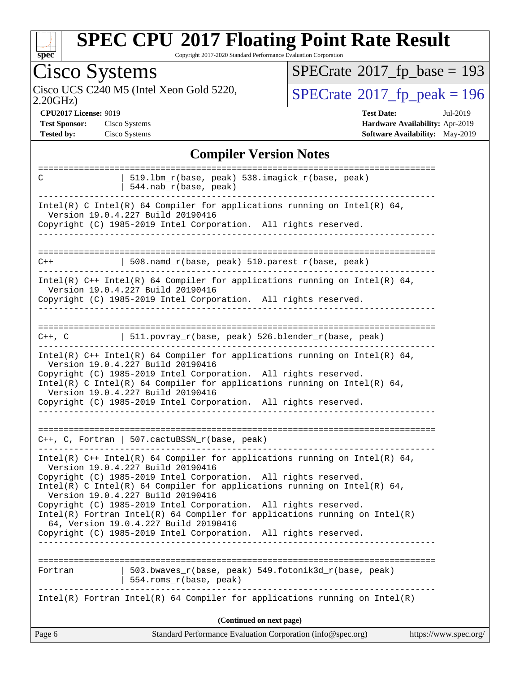

Copyright 2017-2020 Standard Performance Evaluation Corporation

| $P_{\rm rec}$                                                                                                                                                                                                                                                                                                                                                                                                                                                                                                                                                                                            |                                            |
|----------------------------------------------------------------------------------------------------------------------------------------------------------------------------------------------------------------------------------------------------------------------------------------------------------------------------------------------------------------------------------------------------------------------------------------------------------------------------------------------------------------------------------------------------------------------------------------------------------|--------------------------------------------|
| <b>Cisco Systems</b>                                                                                                                                                                                                                                                                                                                                                                                                                                                                                                                                                                                     | $SPECTate$ <sup>®</sup> 2017_fp_base = 193 |
| Cisco UCS C240 M5 (Intel Xeon Gold 5220,<br>2.20GHz                                                                                                                                                                                                                                                                                                                                                                                                                                                                                                                                                      | $SPECTate@2017fp peak = 196$               |
| <b>CPU2017 License: 9019</b>                                                                                                                                                                                                                                                                                                                                                                                                                                                                                                                                                                             | <b>Test Date:</b><br>Jul-2019              |
| <b>Test Sponsor:</b><br>Cisco Systems                                                                                                                                                                                                                                                                                                                                                                                                                                                                                                                                                                    | Hardware Availability: Apr-2019            |
| <b>Tested by:</b><br>Cisco Systems                                                                                                                                                                                                                                                                                                                                                                                                                                                                                                                                                                       | Software Availability: May-2019            |
| <b>Compiler Version Notes</b>                                                                                                                                                                                                                                                                                                                                                                                                                                                                                                                                                                            |                                            |
|                                                                                                                                                                                                                                                                                                                                                                                                                                                                                                                                                                                                          |                                            |
| 519.1bm_r(base, peak) 538.imagick_r(base, peak)<br>C<br>544.nab_r(base, peak)                                                                                                                                                                                                                                                                                                                                                                                                                                                                                                                            |                                            |
| Intel(R) C Intel(R) 64 Compiler for applications running on Intel(R) 64,<br>Version 19.0.4.227 Build 20190416<br>Copyright (C) 1985-2019 Intel Corporation. All rights reserved.                                                                                                                                                                                                                                                                                                                                                                                                                         |                                            |
| 508.namd_r(base, peak) 510.parest_r(base, peak)<br>$C++$                                                                                                                                                                                                                                                                                                                                                                                                                                                                                                                                                 |                                            |
| Intel(R) $C++$ Intel(R) 64 Compiler for applications running on Intel(R) 64,<br>Version 19.0.4.227 Build 20190416<br>Copyright (C) 1985-2019 Intel Corporation. All rights reserved.                                                                                                                                                                                                                                                                                                                                                                                                                     |                                            |
| 511.povray_r(base, peak) 526.blender_r(base, peak)<br>$C++$ , $C$                                                                                                                                                                                                                                                                                                                                                                                                                                                                                                                                        |                                            |
| Intel(R) $C++$ Intel(R) 64 Compiler for applications running on Intel(R) 64,<br>Version 19.0.4.227 Build 20190416<br>Copyright (C) 1985-2019 Intel Corporation. All rights reserved.<br>$Intel(R)$ C Intel(R) 64 Compiler for applications running on Intel(R) 64,<br>Version 19.0.4.227 Build 20190416<br>Copyright (C) 1985-2019 Intel Corporation. All rights reserved.                                                                                                                                                                                                                               |                                            |
| C++, C, Fortran   507.cactuBSSN_r(base, peak)                                                                                                                                                                                                                                                                                                                                                                                                                                                                                                                                                            |                                            |
| Intel(R) C++ Intel(R) 64 Compiler for applications running on Intel(R) 64,<br>Version 19.0.4.227 Build 20190416<br>Copyright (C) 1985-2019 Intel Corporation. All rights reserved.<br>Intel(R) C Intel(R) 64 Compiler for applications running on Intel(R) 64,<br>Version 19.0.4.227 Build 20190416<br>Copyright (C) 1985-2019 Intel Corporation. All rights reserved.<br>$Intel(R)$ Fortran Intel(R) 64 Compiler for applications running on Intel(R)<br>64, Version 19.0.4.227 Build 20190416<br>Copyright (C) 1985-2019 Intel Corporation. All rights reserved.<br>__________________________________ |                                            |
| 503.bwaves_r(base, peak) 549.fotonik3d_r(base, peak)<br>Fortran<br>554.roms_r(base, peak)<br>Intel(R) Fortran Intel(R) 64 Compiler for applications running on Intel(R)                                                                                                                                                                                                                                                                                                                                                                                                                                  |                                            |
|                                                                                                                                                                                                                                                                                                                                                                                                                                                                                                                                                                                                          |                                            |

**(Continued on next page)**

| Page 6 | Standard Performance Evaluation Corporation (info@spec.org) | https://www.spec.org/ |
|--------|-------------------------------------------------------------|-----------------------|
|--------|-------------------------------------------------------------|-----------------------|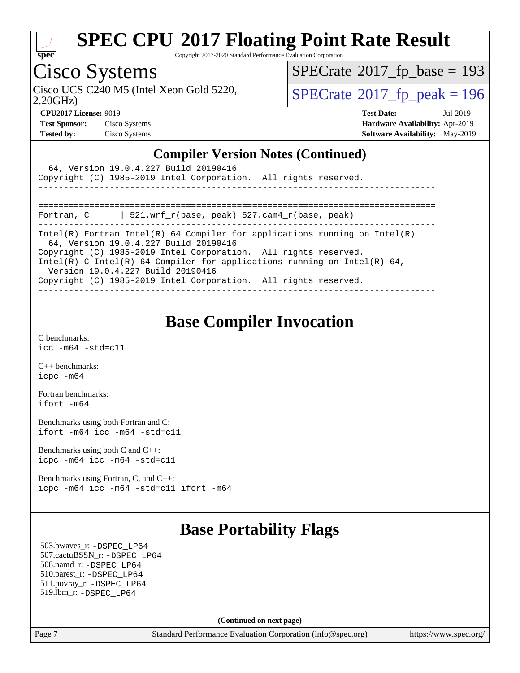

Copyright 2017-2020 Standard Performance Evaluation Corporation

## Cisco Systems

2.20GHz)

 $SPECTate$ <sup>®</sup>[2017\\_fp\\_base =](http://www.spec.org/auto/cpu2017/Docs/result-fields.html#SPECrate2017fpbase) 193

Cisco UCS C240 M5 (Intel Xeon Gold 5220,  $\text{SPECrate}^{\otimes}2017\_fp\_peak = 196$  $\text{SPECrate}^{\otimes}2017\_fp\_peak = 196$  $\text{SPECrate}^{\otimes}2017\_fp\_peak = 196$ 

**[CPU2017 License:](http://www.spec.org/auto/cpu2017/Docs/result-fields.html#CPU2017License)** 9019 **[Test Date:](http://www.spec.org/auto/cpu2017/Docs/result-fields.html#TestDate)** Jul-2019 **[Test Sponsor:](http://www.spec.org/auto/cpu2017/Docs/result-fields.html#TestSponsor)** Cisco Systems **[Hardware Availability:](http://www.spec.org/auto/cpu2017/Docs/result-fields.html#HardwareAvailability)** Apr-2019 **[Tested by:](http://www.spec.org/auto/cpu2017/Docs/result-fields.html#Testedby)** Cisco Systems **[Software Availability:](http://www.spec.org/auto/cpu2017/Docs/result-fields.html#SoftwareAvailability)** May-2019

#### **[Compiler Version Notes \(Continued\)](http://www.spec.org/auto/cpu2017/Docs/result-fields.html#CompilerVersionNotes)**

| 64, Version 19.0.4.227 Build 20190416<br>Copyright (C) 1985-2019 Intel Corporation. All rights reserved.            |
|---------------------------------------------------------------------------------------------------------------------|
|                                                                                                                     |
| 521.wrf r(base, peak) 527.cam4 r(base, peak)<br>Fortran, C                                                          |
| Intel(R) Fortran Intel(R) 64 Compiler for applications running on Intel(R)<br>64, Version 19.0.4.227 Build 20190416 |
| Copyright (C) 1985-2019 Intel Corporation. All rights reserved.                                                     |
| Intel(R) C Intel(R) 64 Compiler for applications running on Intel(R) 64,<br>Version 19.0.4.227 Build 20190416       |
| Copyright (C) 1985-2019 Intel Corporation. All rights reserved.                                                     |
|                                                                                                                     |

### **[Base Compiler Invocation](http://www.spec.org/auto/cpu2017/Docs/result-fields.html#BaseCompilerInvocation)**

[C benchmarks](http://www.spec.org/auto/cpu2017/Docs/result-fields.html#Cbenchmarks): [icc -m64 -std=c11](http://www.spec.org/cpu2017/results/res2019q3/cpu2017-20190806-16731.flags.html#user_CCbase_intel_icc_64bit_c11_33ee0cdaae7deeeab2a9725423ba97205ce30f63b9926c2519791662299b76a0318f32ddfffdc46587804de3178b4f9328c46fa7c2b0cd779d7a61945c91cd35)

[C++ benchmarks:](http://www.spec.org/auto/cpu2017/Docs/result-fields.html#CXXbenchmarks) [icpc -m64](http://www.spec.org/cpu2017/results/res2019q3/cpu2017-20190806-16731.flags.html#user_CXXbase_intel_icpc_64bit_4ecb2543ae3f1412ef961e0650ca070fec7b7afdcd6ed48761b84423119d1bf6bdf5cad15b44d48e7256388bc77273b966e5eb805aefd121eb22e9299b2ec9d9)

[Fortran benchmarks](http://www.spec.org/auto/cpu2017/Docs/result-fields.html#Fortranbenchmarks): [ifort -m64](http://www.spec.org/cpu2017/results/res2019q3/cpu2017-20190806-16731.flags.html#user_FCbase_intel_ifort_64bit_24f2bb282fbaeffd6157abe4f878425411749daecae9a33200eee2bee2fe76f3b89351d69a8130dd5949958ce389cf37ff59a95e7a40d588e8d3a57e0c3fd751)

[Benchmarks using both Fortran and C](http://www.spec.org/auto/cpu2017/Docs/result-fields.html#BenchmarksusingbothFortranandC): [ifort -m64](http://www.spec.org/cpu2017/results/res2019q3/cpu2017-20190806-16731.flags.html#user_CC_FCbase_intel_ifort_64bit_24f2bb282fbaeffd6157abe4f878425411749daecae9a33200eee2bee2fe76f3b89351d69a8130dd5949958ce389cf37ff59a95e7a40d588e8d3a57e0c3fd751) [icc -m64 -std=c11](http://www.spec.org/cpu2017/results/res2019q3/cpu2017-20190806-16731.flags.html#user_CC_FCbase_intel_icc_64bit_c11_33ee0cdaae7deeeab2a9725423ba97205ce30f63b9926c2519791662299b76a0318f32ddfffdc46587804de3178b4f9328c46fa7c2b0cd779d7a61945c91cd35)

[Benchmarks using both C and C++](http://www.spec.org/auto/cpu2017/Docs/result-fields.html#BenchmarksusingbothCandCXX): [icpc -m64](http://www.spec.org/cpu2017/results/res2019q3/cpu2017-20190806-16731.flags.html#user_CC_CXXbase_intel_icpc_64bit_4ecb2543ae3f1412ef961e0650ca070fec7b7afdcd6ed48761b84423119d1bf6bdf5cad15b44d48e7256388bc77273b966e5eb805aefd121eb22e9299b2ec9d9) [icc -m64 -std=c11](http://www.spec.org/cpu2017/results/res2019q3/cpu2017-20190806-16731.flags.html#user_CC_CXXbase_intel_icc_64bit_c11_33ee0cdaae7deeeab2a9725423ba97205ce30f63b9926c2519791662299b76a0318f32ddfffdc46587804de3178b4f9328c46fa7c2b0cd779d7a61945c91cd35)

[Benchmarks using Fortran, C, and C++:](http://www.spec.org/auto/cpu2017/Docs/result-fields.html#BenchmarksusingFortranCandCXX) [icpc -m64](http://www.spec.org/cpu2017/results/res2019q3/cpu2017-20190806-16731.flags.html#user_CC_CXX_FCbase_intel_icpc_64bit_4ecb2543ae3f1412ef961e0650ca070fec7b7afdcd6ed48761b84423119d1bf6bdf5cad15b44d48e7256388bc77273b966e5eb805aefd121eb22e9299b2ec9d9) [icc -m64 -std=c11](http://www.spec.org/cpu2017/results/res2019q3/cpu2017-20190806-16731.flags.html#user_CC_CXX_FCbase_intel_icc_64bit_c11_33ee0cdaae7deeeab2a9725423ba97205ce30f63b9926c2519791662299b76a0318f32ddfffdc46587804de3178b4f9328c46fa7c2b0cd779d7a61945c91cd35) [ifort -m64](http://www.spec.org/cpu2017/results/res2019q3/cpu2017-20190806-16731.flags.html#user_CC_CXX_FCbase_intel_ifort_64bit_24f2bb282fbaeffd6157abe4f878425411749daecae9a33200eee2bee2fe76f3b89351d69a8130dd5949958ce389cf37ff59a95e7a40d588e8d3a57e0c3fd751)

### **[Base Portability Flags](http://www.spec.org/auto/cpu2017/Docs/result-fields.html#BasePortabilityFlags)**

 503.bwaves\_r: [-DSPEC\\_LP64](http://www.spec.org/cpu2017/results/res2019q3/cpu2017-20190806-16731.flags.html#suite_basePORTABILITY503_bwaves_r_DSPEC_LP64) 507.cactuBSSN\_r: [-DSPEC\\_LP64](http://www.spec.org/cpu2017/results/res2019q3/cpu2017-20190806-16731.flags.html#suite_basePORTABILITY507_cactuBSSN_r_DSPEC_LP64) 508.namd\_r: [-DSPEC\\_LP64](http://www.spec.org/cpu2017/results/res2019q3/cpu2017-20190806-16731.flags.html#suite_basePORTABILITY508_namd_r_DSPEC_LP64) 510.parest\_r: [-DSPEC\\_LP64](http://www.spec.org/cpu2017/results/res2019q3/cpu2017-20190806-16731.flags.html#suite_basePORTABILITY510_parest_r_DSPEC_LP64) 511.povray\_r: [-DSPEC\\_LP64](http://www.spec.org/cpu2017/results/res2019q3/cpu2017-20190806-16731.flags.html#suite_basePORTABILITY511_povray_r_DSPEC_LP64) 519.lbm\_r: [-DSPEC\\_LP64](http://www.spec.org/cpu2017/results/res2019q3/cpu2017-20190806-16731.flags.html#suite_basePORTABILITY519_lbm_r_DSPEC_LP64)

**(Continued on next page)**

Page 7 Standard Performance Evaluation Corporation [\(info@spec.org\)](mailto:info@spec.org) <https://www.spec.org/>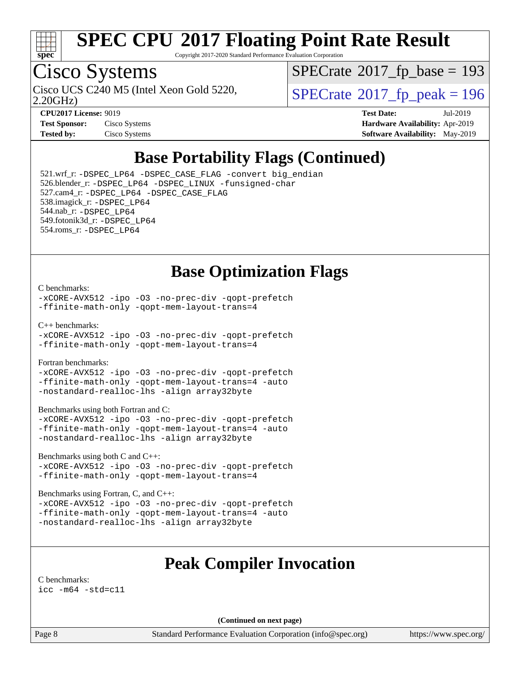

Copyright 2017-2020 Standard Performance Evaluation Corporation

## Cisco Systems

2.20GHz)

 $SPECTate$ <sup>®</sup>[2017\\_fp\\_base =](http://www.spec.org/auto/cpu2017/Docs/result-fields.html#SPECrate2017fpbase) 193

Cisco UCS C240 M5 (Intel Xeon Gold 5220,  $\text{SPECrate}$  $\text{SPECrate}$  $\text{SPECrate}$ <sup>®</sup>[2017\\_fp\\_peak = 1](http://www.spec.org/auto/cpu2017/Docs/result-fields.html#SPECrate2017fppeak)96

| <b>Test Sponsor:</b> | Cisco Systems |
|----------------------|---------------|
| <b>Tested by:</b>    | Cisco Systems |

**[CPU2017 License:](http://www.spec.org/auto/cpu2017/Docs/result-fields.html#CPU2017License)** 9019 **[Test Date:](http://www.spec.org/auto/cpu2017/Docs/result-fields.html#TestDate)** Jul-2019 **[Hardware Availability:](http://www.spec.org/auto/cpu2017/Docs/result-fields.html#HardwareAvailability)** Apr-2019 **[Software Availability:](http://www.spec.org/auto/cpu2017/Docs/result-fields.html#SoftwareAvailability)** May-2019

### **[Base Portability Flags \(Continued\)](http://www.spec.org/auto/cpu2017/Docs/result-fields.html#BasePortabilityFlags)**

 521.wrf\_r: [-DSPEC\\_LP64](http://www.spec.org/cpu2017/results/res2019q3/cpu2017-20190806-16731.flags.html#suite_basePORTABILITY521_wrf_r_DSPEC_LP64) [-DSPEC\\_CASE\\_FLAG](http://www.spec.org/cpu2017/results/res2019q3/cpu2017-20190806-16731.flags.html#b521.wrf_r_baseCPORTABILITY_DSPEC_CASE_FLAG) [-convert big\\_endian](http://www.spec.org/cpu2017/results/res2019q3/cpu2017-20190806-16731.flags.html#user_baseFPORTABILITY521_wrf_r_convert_big_endian_c3194028bc08c63ac5d04de18c48ce6d347e4e562e8892b8bdbdc0214820426deb8554edfa529a3fb25a586e65a3d812c835984020483e7e73212c4d31a38223) 526.blender\_r: [-DSPEC\\_LP64](http://www.spec.org/cpu2017/results/res2019q3/cpu2017-20190806-16731.flags.html#suite_basePORTABILITY526_blender_r_DSPEC_LP64) [-DSPEC\\_LINUX](http://www.spec.org/cpu2017/results/res2019q3/cpu2017-20190806-16731.flags.html#b526.blender_r_baseCPORTABILITY_DSPEC_LINUX) [-funsigned-char](http://www.spec.org/cpu2017/results/res2019q3/cpu2017-20190806-16731.flags.html#user_baseCPORTABILITY526_blender_r_force_uchar_40c60f00ab013830e2dd6774aeded3ff59883ba5a1fc5fc14077f794d777847726e2a5858cbc7672e36e1b067e7e5c1d9a74f7176df07886a243d7cc18edfe67) 527.cam4\_r: [-DSPEC\\_LP64](http://www.spec.org/cpu2017/results/res2019q3/cpu2017-20190806-16731.flags.html#suite_basePORTABILITY527_cam4_r_DSPEC_LP64) [-DSPEC\\_CASE\\_FLAG](http://www.spec.org/cpu2017/results/res2019q3/cpu2017-20190806-16731.flags.html#b527.cam4_r_baseCPORTABILITY_DSPEC_CASE_FLAG) 538.imagick\_r: [-DSPEC\\_LP64](http://www.spec.org/cpu2017/results/res2019q3/cpu2017-20190806-16731.flags.html#suite_basePORTABILITY538_imagick_r_DSPEC_LP64) 544.nab\_r: [-DSPEC\\_LP64](http://www.spec.org/cpu2017/results/res2019q3/cpu2017-20190806-16731.flags.html#suite_basePORTABILITY544_nab_r_DSPEC_LP64) 549.fotonik3d\_r: [-DSPEC\\_LP64](http://www.spec.org/cpu2017/results/res2019q3/cpu2017-20190806-16731.flags.html#suite_basePORTABILITY549_fotonik3d_r_DSPEC_LP64) 554.roms\_r: [-DSPEC\\_LP64](http://www.spec.org/cpu2017/results/res2019q3/cpu2017-20190806-16731.flags.html#suite_basePORTABILITY554_roms_r_DSPEC_LP64)

### **[Base Optimization Flags](http://www.spec.org/auto/cpu2017/Docs/result-fields.html#BaseOptimizationFlags)**

#### [C benchmarks](http://www.spec.org/auto/cpu2017/Docs/result-fields.html#Cbenchmarks):

[-xCORE-AVX512](http://www.spec.org/cpu2017/results/res2019q3/cpu2017-20190806-16731.flags.html#user_CCbase_f-xCORE-AVX512) [-ipo](http://www.spec.org/cpu2017/results/res2019q3/cpu2017-20190806-16731.flags.html#user_CCbase_f-ipo) [-O3](http://www.spec.org/cpu2017/results/res2019q3/cpu2017-20190806-16731.flags.html#user_CCbase_f-O3) [-no-prec-div](http://www.spec.org/cpu2017/results/res2019q3/cpu2017-20190806-16731.flags.html#user_CCbase_f-no-prec-div) [-qopt-prefetch](http://www.spec.org/cpu2017/results/res2019q3/cpu2017-20190806-16731.flags.html#user_CCbase_f-qopt-prefetch) [-ffinite-math-only](http://www.spec.org/cpu2017/results/res2019q3/cpu2017-20190806-16731.flags.html#user_CCbase_f_finite_math_only_cb91587bd2077682c4b38af759c288ed7c732db004271a9512da14a4f8007909a5f1427ecbf1a0fb78ff2a814402c6114ac565ca162485bbcae155b5e4258871) [-qopt-mem-layout-trans=4](http://www.spec.org/cpu2017/results/res2019q3/cpu2017-20190806-16731.flags.html#user_CCbase_f-qopt-mem-layout-trans_fa39e755916c150a61361b7846f310bcdf6f04e385ef281cadf3647acec3f0ae266d1a1d22d972a7087a248fd4e6ca390a3634700869573d231a252c784941a8)

[C++ benchmarks:](http://www.spec.org/auto/cpu2017/Docs/result-fields.html#CXXbenchmarks)

[-xCORE-AVX512](http://www.spec.org/cpu2017/results/res2019q3/cpu2017-20190806-16731.flags.html#user_CXXbase_f-xCORE-AVX512) [-ipo](http://www.spec.org/cpu2017/results/res2019q3/cpu2017-20190806-16731.flags.html#user_CXXbase_f-ipo) [-O3](http://www.spec.org/cpu2017/results/res2019q3/cpu2017-20190806-16731.flags.html#user_CXXbase_f-O3) [-no-prec-div](http://www.spec.org/cpu2017/results/res2019q3/cpu2017-20190806-16731.flags.html#user_CXXbase_f-no-prec-div) [-qopt-prefetch](http://www.spec.org/cpu2017/results/res2019q3/cpu2017-20190806-16731.flags.html#user_CXXbase_f-qopt-prefetch) [-ffinite-math-only](http://www.spec.org/cpu2017/results/res2019q3/cpu2017-20190806-16731.flags.html#user_CXXbase_f_finite_math_only_cb91587bd2077682c4b38af759c288ed7c732db004271a9512da14a4f8007909a5f1427ecbf1a0fb78ff2a814402c6114ac565ca162485bbcae155b5e4258871) [-qopt-mem-layout-trans=4](http://www.spec.org/cpu2017/results/res2019q3/cpu2017-20190806-16731.flags.html#user_CXXbase_f-qopt-mem-layout-trans_fa39e755916c150a61361b7846f310bcdf6f04e385ef281cadf3647acec3f0ae266d1a1d22d972a7087a248fd4e6ca390a3634700869573d231a252c784941a8)

[Fortran benchmarks](http://www.spec.org/auto/cpu2017/Docs/result-fields.html#Fortranbenchmarks):

[-xCORE-AVX512](http://www.spec.org/cpu2017/results/res2019q3/cpu2017-20190806-16731.flags.html#user_FCbase_f-xCORE-AVX512) [-ipo](http://www.spec.org/cpu2017/results/res2019q3/cpu2017-20190806-16731.flags.html#user_FCbase_f-ipo) [-O3](http://www.spec.org/cpu2017/results/res2019q3/cpu2017-20190806-16731.flags.html#user_FCbase_f-O3) [-no-prec-div](http://www.spec.org/cpu2017/results/res2019q3/cpu2017-20190806-16731.flags.html#user_FCbase_f-no-prec-div) [-qopt-prefetch](http://www.spec.org/cpu2017/results/res2019q3/cpu2017-20190806-16731.flags.html#user_FCbase_f-qopt-prefetch) [-ffinite-math-only](http://www.spec.org/cpu2017/results/res2019q3/cpu2017-20190806-16731.flags.html#user_FCbase_f_finite_math_only_cb91587bd2077682c4b38af759c288ed7c732db004271a9512da14a4f8007909a5f1427ecbf1a0fb78ff2a814402c6114ac565ca162485bbcae155b5e4258871) [-qopt-mem-layout-trans=4](http://www.spec.org/cpu2017/results/res2019q3/cpu2017-20190806-16731.flags.html#user_FCbase_f-qopt-mem-layout-trans_fa39e755916c150a61361b7846f310bcdf6f04e385ef281cadf3647acec3f0ae266d1a1d22d972a7087a248fd4e6ca390a3634700869573d231a252c784941a8) [-auto](http://www.spec.org/cpu2017/results/res2019q3/cpu2017-20190806-16731.flags.html#user_FCbase_f-auto) [-nostandard-realloc-lhs](http://www.spec.org/cpu2017/results/res2019q3/cpu2017-20190806-16731.flags.html#user_FCbase_f_2003_std_realloc_82b4557e90729c0f113870c07e44d33d6f5a304b4f63d4c15d2d0f1fab99f5daaed73bdb9275d9ae411527f28b936061aa8b9c8f2d63842963b95c9dd6426b8a) [-align array32byte](http://www.spec.org/cpu2017/results/res2019q3/cpu2017-20190806-16731.flags.html#user_FCbase_align_array32byte_b982fe038af199962ba9a80c053b8342c548c85b40b8e86eb3cc33dee0d7986a4af373ac2d51c3f7cf710a18d62fdce2948f201cd044323541f22fc0fffc51b6)

[Benchmarks using both Fortran and C](http://www.spec.org/auto/cpu2017/Docs/result-fields.html#BenchmarksusingbothFortranandC):

[-xCORE-AVX512](http://www.spec.org/cpu2017/results/res2019q3/cpu2017-20190806-16731.flags.html#user_CC_FCbase_f-xCORE-AVX512) [-ipo](http://www.spec.org/cpu2017/results/res2019q3/cpu2017-20190806-16731.flags.html#user_CC_FCbase_f-ipo) [-O3](http://www.spec.org/cpu2017/results/res2019q3/cpu2017-20190806-16731.flags.html#user_CC_FCbase_f-O3) [-no-prec-div](http://www.spec.org/cpu2017/results/res2019q3/cpu2017-20190806-16731.flags.html#user_CC_FCbase_f-no-prec-div) [-qopt-prefetch](http://www.spec.org/cpu2017/results/res2019q3/cpu2017-20190806-16731.flags.html#user_CC_FCbase_f-qopt-prefetch) [-ffinite-math-only](http://www.spec.org/cpu2017/results/res2019q3/cpu2017-20190806-16731.flags.html#user_CC_FCbase_f_finite_math_only_cb91587bd2077682c4b38af759c288ed7c732db004271a9512da14a4f8007909a5f1427ecbf1a0fb78ff2a814402c6114ac565ca162485bbcae155b5e4258871) [-qopt-mem-layout-trans=4](http://www.spec.org/cpu2017/results/res2019q3/cpu2017-20190806-16731.flags.html#user_CC_FCbase_f-qopt-mem-layout-trans_fa39e755916c150a61361b7846f310bcdf6f04e385ef281cadf3647acec3f0ae266d1a1d22d972a7087a248fd4e6ca390a3634700869573d231a252c784941a8) [-auto](http://www.spec.org/cpu2017/results/res2019q3/cpu2017-20190806-16731.flags.html#user_CC_FCbase_f-auto) [-nostandard-realloc-lhs](http://www.spec.org/cpu2017/results/res2019q3/cpu2017-20190806-16731.flags.html#user_CC_FCbase_f_2003_std_realloc_82b4557e90729c0f113870c07e44d33d6f5a304b4f63d4c15d2d0f1fab99f5daaed73bdb9275d9ae411527f28b936061aa8b9c8f2d63842963b95c9dd6426b8a) [-align array32byte](http://www.spec.org/cpu2017/results/res2019q3/cpu2017-20190806-16731.flags.html#user_CC_FCbase_align_array32byte_b982fe038af199962ba9a80c053b8342c548c85b40b8e86eb3cc33dee0d7986a4af373ac2d51c3f7cf710a18d62fdce2948f201cd044323541f22fc0fffc51b6)

[Benchmarks using both C and C++](http://www.spec.org/auto/cpu2017/Docs/result-fields.html#BenchmarksusingbothCandCXX):

[-xCORE-AVX512](http://www.spec.org/cpu2017/results/res2019q3/cpu2017-20190806-16731.flags.html#user_CC_CXXbase_f-xCORE-AVX512) [-ipo](http://www.spec.org/cpu2017/results/res2019q3/cpu2017-20190806-16731.flags.html#user_CC_CXXbase_f-ipo) [-O3](http://www.spec.org/cpu2017/results/res2019q3/cpu2017-20190806-16731.flags.html#user_CC_CXXbase_f-O3) [-no-prec-div](http://www.spec.org/cpu2017/results/res2019q3/cpu2017-20190806-16731.flags.html#user_CC_CXXbase_f-no-prec-div) [-qopt-prefetch](http://www.spec.org/cpu2017/results/res2019q3/cpu2017-20190806-16731.flags.html#user_CC_CXXbase_f-qopt-prefetch) [-ffinite-math-only](http://www.spec.org/cpu2017/results/res2019q3/cpu2017-20190806-16731.flags.html#user_CC_CXXbase_f_finite_math_only_cb91587bd2077682c4b38af759c288ed7c732db004271a9512da14a4f8007909a5f1427ecbf1a0fb78ff2a814402c6114ac565ca162485bbcae155b5e4258871) [-qopt-mem-layout-trans=4](http://www.spec.org/cpu2017/results/res2019q3/cpu2017-20190806-16731.flags.html#user_CC_CXXbase_f-qopt-mem-layout-trans_fa39e755916c150a61361b7846f310bcdf6f04e385ef281cadf3647acec3f0ae266d1a1d22d972a7087a248fd4e6ca390a3634700869573d231a252c784941a8)

[Benchmarks using Fortran, C, and C++:](http://www.spec.org/auto/cpu2017/Docs/result-fields.html#BenchmarksusingFortranCandCXX)

[-xCORE-AVX512](http://www.spec.org/cpu2017/results/res2019q3/cpu2017-20190806-16731.flags.html#user_CC_CXX_FCbase_f-xCORE-AVX512) [-ipo](http://www.spec.org/cpu2017/results/res2019q3/cpu2017-20190806-16731.flags.html#user_CC_CXX_FCbase_f-ipo) [-O3](http://www.spec.org/cpu2017/results/res2019q3/cpu2017-20190806-16731.flags.html#user_CC_CXX_FCbase_f-O3) [-no-prec-div](http://www.spec.org/cpu2017/results/res2019q3/cpu2017-20190806-16731.flags.html#user_CC_CXX_FCbase_f-no-prec-div) [-qopt-prefetch](http://www.spec.org/cpu2017/results/res2019q3/cpu2017-20190806-16731.flags.html#user_CC_CXX_FCbase_f-qopt-prefetch) [-ffinite-math-only](http://www.spec.org/cpu2017/results/res2019q3/cpu2017-20190806-16731.flags.html#user_CC_CXX_FCbase_f_finite_math_only_cb91587bd2077682c4b38af759c288ed7c732db004271a9512da14a4f8007909a5f1427ecbf1a0fb78ff2a814402c6114ac565ca162485bbcae155b5e4258871) [-qopt-mem-layout-trans=4](http://www.spec.org/cpu2017/results/res2019q3/cpu2017-20190806-16731.flags.html#user_CC_CXX_FCbase_f-qopt-mem-layout-trans_fa39e755916c150a61361b7846f310bcdf6f04e385ef281cadf3647acec3f0ae266d1a1d22d972a7087a248fd4e6ca390a3634700869573d231a252c784941a8) [-auto](http://www.spec.org/cpu2017/results/res2019q3/cpu2017-20190806-16731.flags.html#user_CC_CXX_FCbase_f-auto) [-nostandard-realloc-lhs](http://www.spec.org/cpu2017/results/res2019q3/cpu2017-20190806-16731.flags.html#user_CC_CXX_FCbase_f_2003_std_realloc_82b4557e90729c0f113870c07e44d33d6f5a304b4f63d4c15d2d0f1fab99f5daaed73bdb9275d9ae411527f28b936061aa8b9c8f2d63842963b95c9dd6426b8a) [-align array32byte](http://www.spec.org/cpu2017/results/res2019q3/cpu2017-20190806-16731.flags.html#user_CC_CXX_FCbase_align_array32byte_b982fe038af199962ba9a80c053b8342c548c85b40b8e86eb3cc33dee0d7986a4af373ac2d51c3f7cf710a18d62fdce2948f201cd044323541f22fc0fffc51b6)

### **[Peak Compiler Invocation](http://www.spec.org/auto/cpu2017/Docs/result-fields.html#PeakCompilerInvocation)**

[C benchmarks](http://www.spec.org/auto/cpu2017/Docs/result-fields.html#Cbenchmarks): [icc -m64 -std=c11](http://www.spec.org/cpu2017/results/res2019q3/cpu2017-20190806-16731.flags.html#user_CCpeak_intel_icc_64bit_c11_33ee0cdaae7deeeab2a9725423ba97205ce30f63b9926c2519791662299b76a0318f32ddfffdc46587804de3178b4f9328c46fa7c2b0cd779d7a61945c91cd35)

**(Continued on next page)**

Page 8 Standard Performance Evaluation Corporation [\(info@spec.org\)](mailto:info@spec.org) <https://www.spec.org/>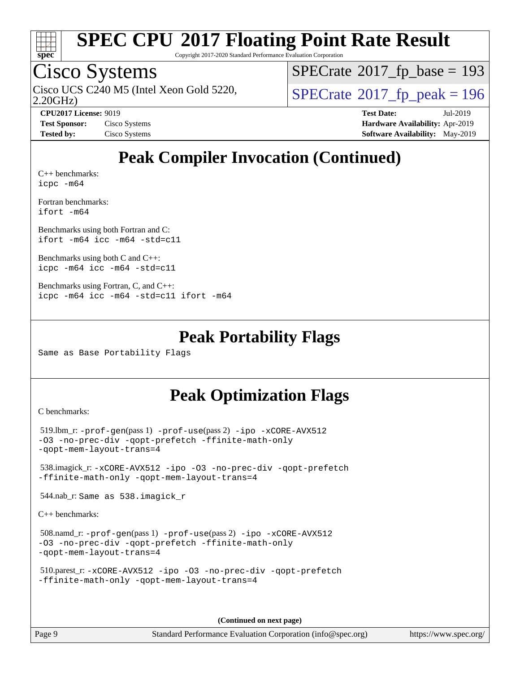

Copyright 2017-2020 Standard Performance Evaluation Corporation

### Cisco Systems

2.20GHz) Cisco UCS C240 M5 (Intel Xeon Gold 5220,  $\text{SPECrate}$  $\text{SPECrate}$  $\text{SPECrate}$ <sup>®</sup>[2017\\_fp\\_peak = 1](http://www.spec.org/auto/cpu2017/Docs/result-fields.html#SPECrate2017fppeak)96

 $SPECTate$ <sup>®</sup>[2017\\_fp\\_base =](http://www.spec.org/auto/cpu2017/Docs/result-fields.html#SPECrate2017fpbase) 193

**[CPU2017 License:](http://www.spec.org/auto/cpu2017/Docs/result-fields.html#CPU2017License)** 9019 **[Test Date:](http://www.spec.org/auto/cpu2017/Docs/result-fields.html#TestDate)** Jul-2019 **[Test Sponsor:](http://www.spec.org/auto/cpu2017/Docs/result-fields.html#TestSponsor)** Cisco Systems **[Hardware Availability:](http://www.spec.org/auto/cpu2017/Docs/result-fields.html#HardwareAvailability)** Apr-2019 **[Tested by:](http://www.spec.org/auto/cpu2017/Docs/result-fields.html#Testedby)** Cisco Systems **[Software Availability:](http://www.spec.org/auto/cpu2017/Docs/result-fields.html#SoftwareAvailability)** May-2019

## **[Peak Compiler Invocation \(Continued\)](http://www.spec.org/auto/cpu2017/Docs/result-fields.html#PeakCompilerInvocation)**

[C++ benchmarks:](http://www.spec.org/auto/cpu2017/Docs/result-fields.html#CXXbenchmarks) [icpc -m64](http://www.spec.org/cpu2017/results/res2019q3/cpu2017-20190806-16731.flags.html#user_CXXpeak_intel_icpc_64bit_4ecb2543ae3f1412ef961e0650ca070fec7b7afdcd6ed48761b84423119d1bf6bdf5cad15b44d48e7256388bc77273b966e5eb805aefd121eb22e9299b2ec9d9)

[Fortran benchmarks](http://www.spec.org/auto/cpu2017/Docs/result-fields.html#Fortranbenchmarks): [ifort -m64](http://www.spec.org/cpu2017/results/res2019q3/cpu2017-20190806-16731.flags.html#user_FCpeak_intel_ifort_64bit_24f2bb282fbaeffd6157abe4f878425411749daecae9a33200eee2bee2fe76f3b89351d69a8130dd5949958ce389cf37ff59a95e7a40d588e8d3a57e0c3fd751)

[Benchmarks using both Fortran and C](http://www.spec.org/auto/cpu2017/Docs/result-fields.html#BenchmarksusingbothFortranandC): [ifort -m64](http://www.spec.org/cpu2017/results/res2019q3/cpu2017-20190806-16731.flags.html#user_CC_FCpeak_intel_ifort_64bit_24f2bb282fbaeffd6157abe4f878425411749daecae9a33200eee2bee2fe76f3b89351d69a8130dd5949958ce389cf37ff59a95e7a40d588e8d3a57e0c3fd751) [icc -m64 -std=c11](http://www.spec.org/cpu2017/results/res2019q3/cpu2017-20190806-16731.flags.html#user_CC_FCpeak_intel_icc_64bit_c11_33ee0cdaae7deeeab2a9725423ba97205ce30f63b9926c2519791662299b76a0318f32ddfffdc46587804de3178b4f9328c46fa7c2b0cd779d7a61945c91cd35)

[Benchmarks using both C and C++](http://www.spec.org/auto/cpu2017/Docs/result-fields.html#BenchmarksusingbothCandCXX): [icpc -m64](http://www.spec.org/cpu2017/results/res2019q3/cpu2017-20190806-16731.flags.html#user_CC_CXXpeak_intel_icpc_64bit_4ecb2543ae3f1412ef961e0650ca070fec7b7afdcd6ed48761b84423119d1bf6bdf5cad15b44d48e7256388bc77273b966e5eb805aefd121eb22e9299b2ec9d9) [icc -m64 -std=c11](http://www.spec.org/cpu2017/results/res2019q3/cpu2017-20190806-16731.flags.html#user_CC_CXXpeak_intel_icc_64bit_c11_33ee0cdaae7deeeab2a9725423ba97205ce30f63b9926c2519791662299b76a0318f32ddfffdc46587804de3178b4f9328c46fa7c2b0cd779d7a61945c91cd35)

```
Benchmarks using Fortran, C, and C++: 
icpc -m64 icc -m64 -std=c11 ifort -m64
```
#### **[Peak Portability Flags](http://www.spec.org/auto/cpu2017/Docs/result-fields.html#PeakPortabilityFlags)**

Same as Base Portability Flags

### **[Peak Optimization Flags](http://www.spec.org/auto/cpu2017/Docs/result-fields.html#PeakOptimizationFlags)**

[C benchmarks](http://www.spec.org/auto/cpu2017/Docs/result-fields.html#Cbenchmarks):

```
 519.lbm_r: -prof-gen(pass 1) -prof-use(pass 2) -ipo -xCORE-AVX512
-O3 -no-prec-div -qopt-prefetch -ffinite-math-only
-qopt-mem-layout-trans=4
 538.imagick_r: -xCORE-AVX512 -ipo -O3 -no-prec-div -qopt-prefetch
-ffinite-math-only -qopt-mem-layout-trans=4
 544.nab_r: Same as 538.imagick_r
C++ benchmarks: 
 508.namd_r: -prof-gen(pass 1) -prof-use(pass 2) -ipo -xCORE-AVX512
-O3 -no-prec-div -qopt-prefetch -ffinite-math-only
```

```
-qopt-mem-layout-trans=4
```

```
 510.parest_r: -xCORE-AVX512 -ipo -O3 -no-prec-div -qopt-prefetch
-ffinite-math-only -qopt-mem-layout-trans=4
```
**(Continued on next page)**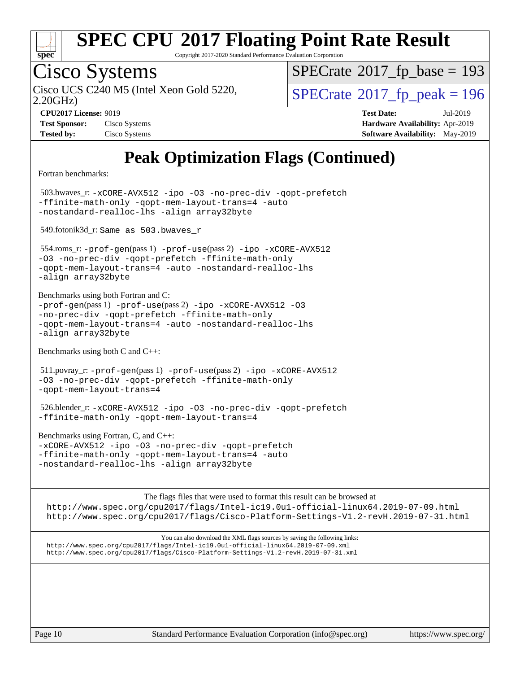

Copyright 2017-2020 Standard Performance Evaluation Corporation

# Cisco Systems

2.20GHz) Cisco UCS C240 M5 (Intel Xeon Gold 5220,  $\text{SPECrate}$  $\text{SPECrate}$  $\text{SPECrate}$ <sup>®</sup>[2017\\_fp\\_peak = 1](http://www.spec.org/auto/cpu2017/Docs/result-fields.html#SPECrate2017fppeak)96

 $SPECTate$ <sup>®</sup>[2017\\_fp\\_base =](http://www.spec.org/auto/cpu2017/Docs/result-fields.html#SPECrate2017fpbase) 193

| <b>Test Sponsor:</b> | Cisco Systems |
|----------------------|---------------|
| <b>Tested by:</b>    | Cisco Systems |

**[CPU2017 License:](http://www.spec.org/auto/cpu2017/Docs/result-fields.html#CPU2017License)** 9019 **[Test Date:](http://www.spec.org/auto/cpu2017/Docs/result-fields.html#TestDate)** Jul-2019 **[Hardware Availability:](http://www.spec.org/auto/cpu2017/Docs/result-fields.html#HardwareAvailability)** Apr-2019 **[Software Availability:](http://www.spec.org/auto/cpu2017/Docs/result-fields.html#SoftwareAvailability)** May-2019

## **[Peak Optimization Flags \(Continued\)](http://www.spec.org/auto/cpu2017/Docs/result-fields.html#PeakOptimizationFlags)**

[Fortran benchmarks](http://www.spec.org/auto/cpu2017/Docs/result-fields.html#Fortranbenchmarks):

 503.bwaves\_r: [-xCORE-AVX512](http://www.spec.org/cpu2017/results/res2019q3/cpu2017-20190806-16731.flags.html#user_peakFOPTIMIZE503_bwaves_r_f-xCORE-AVX512) [-ipo](http://www.spec.org/cpu2017/results/res2019q3/cpu2017-20190806-16731.flags.html#user_peakFOPTIMIZE503_bwaves_r_f-ipo) [-O3](http://www.spec.org/cpu2017/results/res2019q3/cpu2017-20190806-16731.flags.html#user_peakFOPTIMIZE503_bwaves_r_f-O3) [-no-prec-div](http://www.spec.org/cpu2017/results/res2019q3/cpu2017-20190806-16731.flags.html#user_peakFOPTIMIZE503_bwaves_r_f-no-prec-div) [-qopt-prefetch](http://www.spec.org/cpu2017/results/res2019q3/cpu2017-20190806-16731.flags.html#user_peakFOPTIMIZE503_bwaves_r_f-qopt-prefetch) [-ffinite-math-only](http://www.spec.org/cpu2017/results/res2019q3/cpu2017-20190806-16731.flags.html#user_peakFOPTIMIZE503_bwaves_r_f_finite_math_only_cb91587bd2077682c4b38af759c288ed7c732db004271a9512da14a4f8007909a5f1427ecbf1a0fb78ff2a814402c6114ac565ca162485bbcae155b5e4258871) [-qopt-mem-layout-trans=4](http://www.spec.org/cpu2017/results/res2019q3/cpu2017-20190806-16731.flags.html#user_peakFOPTIMIZE503_bwaves_r_f-qopt-mem-layout-trans_fa39e755916c150a61361b7846f310bcdf6f04e385ef281cadf3647acec3f0ae266d1a1d22d972a7087a248fd4e6ca390a3634700869573d231a252c784941a8) [-auto](http://www.spec.org/cpu2017/results/res2019q3/cpu2017-20190806-16731.flags.html#user_peakFOPTIMIZE503_bwaves_r_f-auto) [-nostandard-realloc-lhs](http://www.spec.org/cpu2017/results/res2019q3/cpu2017-20190806-16731.flags.html#user_peakEXTRA_FOPTIMIZE503_bwaves_r_f_2003_std_realloc_82b4557e90729c0f113870c07e44d33d6f5a304b4f63d4c15d2d0f1fab99f5daaed73bdb9275d9ae411527f28b936061aa8b9c8f2d63842963b95c9dd6426b8a) [-align array32byte](http://www.spec.org/cpu2017/results/res2019q3/cpu2017-20190806-16731.flags.html#user_peakEXTRA_FOPTIMIZE503_bwaves_r_align_array32byte_b982fe038af199962ba9a80c053b8342c548c85b40b8e86eb3cc33dee0d7986a4af373ac2d51c3f7cf710a18d62fdce2948f201cd044323541f22fc0fffc51b6)

549.fotonik3d\_r: Same as 503.bwaves\_r

 554.roms\_r: [-prof-gen](http://www.spec.org/cpu2017/results/res2019q3/cpu2017-20190806-16731.flags.html#user_peakPASS1_FFLAGSPASS1_LDFLAGS554_roms_r_prof_gen_5aa4926d6013ddb2a31985c654b3eb18169fc0c6952a63635c234f711e6e63dd76e94ad52365559451ec499a2cdb89e4dc58ba4c67ef54ca681ffbe1461d6b36)(pass 1) [-prof-use](http://www.spec.org/cpu2017/results/res2019q3/cpu2017-20190806-16731.flags.html#user_peakPASS2_FFLAGSPASS2_LDFLAGS554_roms_r_prof_use_1a21ceae95f36a2b53c25747139a6c16ca95bd9def2a207b4f0849963b97e94f5260e30a0c64f4bb623698870e679ca08317ef8150905d41bd88c6f78df73f19)(pass 2) [-ipo](http://www.spec.org/cpu2017/results/res2019q3/cpu2017-20190806-16731.flags.html#user_peakPASS1_FOPTIMIZEPASS2_FOPTIMIZE554_roms_r_f-ipo) [-xCORE-AVX512](http://www.spec.org/cpu2017/results/res2019q3/cpu2017-20190806-16731.flags.html#user_peakPASS2_FOPTIMIZE554_roms_r_f-xCORE-AVX512) [-O3](http://www.spec.org/cpu2017/results/res2019q3/cpu2017-20190806-16731.flags.html#user_peakPASS1_FOPTIMIZEPASS2_FOPTIMIZE554_roms_r_f-O3) [-no-prec-div](http://www.spec.org/cpu2017/results/res2019q3/cpu2017-20190806-16731.flags.html#user_peakPASS1_FOPTIMIZEPASS2_FOPTIMIZE554_roms_r_f-no-prec-div) [-qopt-prefetch](http://www.spec.org/cpu2017/results/res2019q3/cpu2017-20190806-16731.flags.html#user_peakPASS1_FOPTIMIZEPASS2_FOPTIMIZE554_roms_r_f-qopt-prefetch) [-ffinite-math-only](http://www.spec.org/cpu2017/results/res2019q3/cpu2017-20190806-16731.flags.html#user_peakPASS1_FOPTIMIZEPASS2_FOPTIMIZE554_roms_r_f_finite_math_only_cb91587bd2077682c4b38af759c288ed7c732db004271a9512da14a4f8007909a5f1427ecbf1a0fb78ff2a814402c6114ac565ca162485bbcae155b5e4258871) [-qopt-mem-layout-trans=4](http://www.spec.org/cpu2017/results/res2019q3/cpu2017-20190806-16731.flags.html#user_peakPASS1_FOPTIMIZEPASS2_FOPTIMIZE554_roms_r_f-qopt-mem-layout-trans_fa39e755916c150a61361b7846f310bcdf6f04e385ef281cadf3647acec3f0ae266d1a1d22d972a7087a248fd4e6ca390a3634700869573d231a252c784941a8) [-auto](http://www.spec.org/cpu2017/results/res2019q3/cpu2017-20190806-16731.flags.html#user_peakPASS2_FOPTIMIZE554_roms_r_f-auto) [-nostandard-realloc-lhs](http://www.spec.org/cpu2017/results/res2019q3/cpu2017-20190806-16731.flags.html#user_peakEXTRA_FOPTIMIZE554_roms_r_f_2003_std_realloc_82b4557e90729c0f113870c07e44d33d6f5a304b4f63d4c15d2d0f1fab99f5daaed73bdb9275d9ae411527f28b936061aa8b9c8f2d63842963b95c9dd6426b8a) [-align array32byte](http://www.spec.org/cpu2017/results/res2019q3/cpu2017-20190806-16731.flags.html#user_peakEXTRA_FOPTIMIZE554_roms_r_align_array32byte_b982fe038af199962ba9a80c053b8342c548c85b40b8e86eb3cc33dee0d7986a4af373ac2d51c3f7cf710a18d62fdce2948f201cd044323541f22fc0fffc51b6)

[Benchmarks using both Fortran and C](http://www.spec.org/auto/cpu2017/Docs/result-fields.html#BenchmarksusingbothFortranandC):  $-prof-qen(pass 1) -prof-use(pass 2) -ipo -xCORE-AVX512 -O3$  $-prof-qen(pass 1) -prof-use(pass 2) -ipo -xCORE-AVX512 -O3$  $-prof-qen(pass 1) -prof-use(pass 2) -ipo -xCORE-AVX512 -O3$  $-prof-qen(pass 1) -prof-use(pass 2) -ipo -xCORE-AVX512 -O3$  $-prof-qen(pass 1) -prof-use(pass 2) -ipo -xCORE-AVX512 -O3$  $-prof-qen(pass 1) -prof-use(pass 2) -ipo -xCORE-AVX512 -O3$  $-prof-qen(pass 1) -prof-use(pass 2) -ipo -xCORE-AVX512 -O3$  $-prof-qen(pass 1) -prof-use(pass 2) -ipo -xCORE-AVX512 -O3$ [-no-prec-div](http://www.spec.org/cpu2017/results/res2019q3/cpu2017-20190806-16731.flags.html#user_CC_FCpeak_f-no-prec-div) [-qopt-prefetch](http://www.spec.org/cpu2017/results/res2019q3/cpu2017-20190806-16731.flags.html#user_CC_FCpeak_f-qopt-prefetch) [-ffinite-math-only](http://www.spec.org/cpu2017/results/res2019q3/cpu2017-20190806-16731.flags.html#user_CC_FCpeak_f_finite_math_only_cb91587bd2077682c4b38af759c288ed7c732db004271a9512da14a4f8007909a5f1427ecbf1a0fb78ff2a814402c6114ac565ca162485bbcae155b5e4258871) [-qopt-mem-layout-trans=4](http://www.spec.org/cpu2017/results/res2019q3/cpu2017-20190806-16731.flags.html#user_CC_FCpeak_f-qopt-mem-layout-trans_fa39e755916c150a61361b7846f310bcdf6f04e385ef281cadf3647acec3f0ae266d1a1d22d972a7087a248fd4e6ca390a3634700869573d231a252c784941a8) [-auto](http://www.spec.org/cpu2017/results/res2019q3/cpu2017-20190806-16731.flags.html#user_CC_FCpeak_f-auto) [-nostandard-realloc-lhs](http://www.spec.org/cpu2017/results/res2019q3/cpu2017-20190806-16731.flags.html#user_CC_FCpeak_f_2003_std_realloc_82b4557e90729c0f113870c07e44d33d6f5a304b4f63d4c15d2d0f1fab99f5daaed73bdb9275d9ae411527f28b936061aa8b9c8f2d63842963b95c9dd6426b8a) [-align array32byte](http://www.spec.org/cpu2017/results/res2019q3/cpu2017-20190806-16731.flags.html#user_CC_FCpeak_align_array32byte_b982fe038af199962ba9a80c053b8342c548c85b40b8e86eb3cc33dee0d7986a4af373ac2d51c3f7cf710a18d62fdce2948f201cd044323541f22fc0fffc51b6)

[Benchmarks using both C and C++](http://www.spec.org/auto/cpu2017/Docs/result-fields.html#BenchmarksusingbothCandCXX):

 511.povray\_r: [-prof-gen](http://www.spec.org/cpu2017/results/res2019q3/cpu2017-20190806-16731.flags.html#user_peakPASS1_CFLAGSPASS1_CXXFLAGSPASS1_LDFLAGS511_povray_r_prof_gen_5aa4926d6013ddb2a31985c654b3eb18169fc0c6952a63635c234f711e6e63dd76e94ad52365559451ec499a2cdb89e4dc58ba4c67ef54ca681ffbe1461d6b36)(pass 1) [-prof-use](http://www.spec.org/cpu2017/results/res2019q3/cpu2017-20190806-16731.flags.html#user_peakPASS2_CFLAGSPASS2_CXXFLAGSPASS2_LDFLAGS511_povray_r_prof_use_1a21ceae95f36a2b53c25747139a6c16ca95bd9def2a207b4f0849963b97e94f5260e30a0c64f4bb623698870e679ca08317ef8150905d41bd88c6f78df73f19)(pass 2) [-ipo](http://www.spec.org/cpu2017/results/res2019q3/cpu2017-20190806-16731.flags.html#user_peakPASS1_COPTIMIZEPASS1_CXXOPTIMIZEPASS2_COPTIMIZEPASS2_CXXOPTIMIZE511_povray_r_f-ipo) [-xCORE-AVX512](http://www.spec.org/cpu2017/results/res2019q3/cpu2017-20190806-16731.flags.html#user_peakPASS2_COPTIMIZEPASS2_CXXOPTIMIZE511_povray_r_f-xCORE-AVX512) [-O3](http://www.spec.org/cpu2017/results/res2019q3/cpu2017-20190806-16731.flags.html#user_peakPASS1_COPTIMIZEPASS1_CXXOPTIMIZEPASS2_COPTIMIZEPASS2_CXXOPTIMIZE511_povray_r_f-O3) [-no-prec-div](http://www.spec.org/cpu2017/results/res2019q3/cpu2017-20190806-16731.flags.html#user_peakPASS1_COPTIMIZEPASS1_CXXOPTIMIZEPASS2_COPTIMIZEPASS2_CXXOPTIMIZE511_povray_r_f-no-prec-div) [-qopt-prefetch](http://www.spec.org/cpu2017/results/res2019q3/cpu2017-20190806-16731.flags.html#user_peakPASS1_COPTIMIZEPASS1_CXXOPTIMIZEPASS2_COPTIMIZEPASS2_CXXOPTIMIZE511_povray_r_f-qopt-prefetch) [-ffinite-math-only](http://www.spec.org/cpu2017/results/res2019q3/cpu2017-20190806-16731.flags.html#user_peakPASS1_COPTIMIZEPASS1_CXXOPTIMIZEPASS2_COPTIMIZEPASS2_CXXOPTIMIZE511_povray_r_f_finite_math_only_cb91587bd2077682c4b38af759c288ed7c732db004271a9512da14a4f8007909a5f1427ecbf1a0fb78ff2a814402c6114ac565ca162485bbcae155b5e4258871) [-qopt-mem-layout-trans=4](http://www.spec.org/cpu2017/results/res2019q3/cpu2017-20190806-16731.flags.html#user_peakPASS1_COPTIMIZEPASS1_CXXOPTIMIZEPASS2_COPTIMIZEPASS2_CXXOPTIMIZE511_povray_r_f-qopt-mem-layout-trans_fa39e755916c150a61361b7846f310bcdf6f04e385ef281cadf3647acec3f0ae266d1a1d22d972a7087a248fd4e6ca390a3634700869573d231a252c784941a8)

 526.blender\_r: [-xCORE-AVX512](http://www.spec.org/cpu2017/results/res2019q3/cpu2017-20190806-16731.flags.html#user_peakCOPTIMIZECXXOPTIMIZE526_blender_r_f-xCORE-AVX512) [-ipo](http://www.spec.org/cpu2017/results/res2019q3/cpu2017-20190806-16731.flags.html#user_peakCOPTIMIZECXXOPTIMIZE526_blender_r_f-ipo) [-O3](http://www.spec.org/cpu2017/results/res2019q3/cpu2017-20190806-16731.flags.html#user_peakCOPTIMIZECXXOPTIMIZE526_blender_r_f-O3) [-no-prec-div](http://www.spec.org/cpu2017/results/res2019q3/cpu2017-20190806-16731.flags.html#user_peakCOPTIMIZECXXOPTIMIZE526_blender_r_f-no-prec-div) [-qopt-prefetch](http://www.spec.org/cpu2017/results/res2019q3/cpu2017-20190806-16731.flags.html#user_peakCOPTIMIZECXXOPTIMIZE526_blender_r_f-qopt-prefetch) [-ffinite-math-only](http://www.spec.org/cpu2017/results/res2019q3/cpu2017-20190806-16731.flags.html#user_peakCOPTIMIZECXXOPTIMIZE526_blender_r_f_finite_math_only_cb91587bd2077682c4b38af759c288ed7c732db004271a9512da14a4f8007909a5f1427ecbf1a0fb78ff2a814402c6114ac565ca162485bbcae155b5e4258871) [-qopt-mem-layout-trans=4](http://www.spec.org/cpu2017/results/res2019q3/cpu2017-20190806-16731.flags.html#user_peakCOPTIMIZECXXOPTIMIZE526_blender_r_f-qopt-mem-layout-trans_fa39e755916c150a61361b7846f310bcdf6f04e385ef281cadf3647acec3f0ae266d1a1d22d972a7087a248fd4e6ca390a3634700869573d231a252c784941a8)

[Benchmarks using Fortran, C, and C++:](http://www.spec.org/auto/cpu2017/Docs/result-fields.html#BenchmarksusingFortranCandCXX) [-xCORE-AVX512](http://www.spec.org/cpu2017/results/res2019q3/cpu2017-20190806-16731.flags.html#user_CC_CXX_FCpeak_f-xCORE-AVX512) [-ipo](http://www.spec.org/cpu2017/results/res2019q3/cpu2017-20190806-16731.flags.html#user_CC_CXX_FCpeak_f-ipo) [-O3](http://www.spec.org/cpu2017/results/res2019q3/cpu2017-20190806-16731.flags.html#user_CC_CXX_FCpeak_f-O3) [-no-prec-div](http://www.spec.org/cpu2017/results/res2019q3/cpu2017-20190806-16731.flags.html#user_CC_CXX_FCpeak_f-no-prec-div) [-qopt-prefetch](http://www.spec.org/cpu2017/results/res2019q3/cpu2017-20190806-16731.flags.html#user_CC_CXX_FCpeak_f-qopt-prefetch) [-ffinite-math-only](http://www.spec.org/cpu2017/results/res2019q3/cpu2017-20190806-16731.flags.html#user_CC_CXX_FCpeak_f_finite_math_only_cb91587bd2077682c4b38af759c288ed7c732db004271a9512da14a4f8007909a5f1427ecbf1a0fb78ff2a814402c6114ac565ca162485bbcae155b5e4258871) [-qopt-mem-layout-trans=4](http://www.spec.org/cpu2017/results/res2019q3/cpu2017-20190806-16731.flags.html#user_CC_CXX_FCpeak_f-qopt-mem-layout-trans_fa39e755916c150a61361b7846f310bcdf6f04e385ef281cadf3647acec3f0ae266d1a1d22d972a7087a248fd4e6ca390a3634700869573d231a252c784941a8) [-auto](http://www.spec.org/cpu2017/results/res2019q3/cpu2017-20190806-16731.flags.html#user_CC_CXX_FCpeak_f-auto) [-nostandard-realloc-lhs](http://www.spec.org/cpu2017/results/res2019q3/cpu2017-20190806-16731.flags.html#user_CC_CXX_FCpeak_f_2003_std_realloc_82b4557e90729c0f113870c07e44d33d6f5a304b4f63d4c15d2d0f1fab99f5daaed73bdb9275d9ae411527f28b936061aa8b9c8f2d63842963b95c9dd6426b8a) [-align array32byte](http://www.spec.org/cpu2017/results/res2019q3/cpu2017-20190806-16731.flags.html#user_CC_CXX_FCpeak_align_array32byte_b982fe038af199962ba9a80c053b8342c548c85b40b8e86eb3cc33dee0d7986a4af373ac2d51c3f7cf710a18d62fdce2948f201cd044323541f22fc0fffc51b6)

[The flags files that were used to format this result can be browsed at](tmsearch) <http://www.spec.org/cpu2017/flags/Intel-ic19.0u1-official-linux64.2019-07-09.html> <http://www.spec.org/cpu2017/flags/Cisco-Platform-Settings-V1.2-revH.2019-07-31.html>

[You can also download the XML flags sources by saving the following links:](tmsearch) <http://www.spec.org/cpu2017/flags/Intel-ic19.0u1-official-linux64.2019-07-09.xml> <http://www.spec.org/cpu2017/flags/Cisco-Platform-Settings-V1.2-revH.2019-07-31.xml>